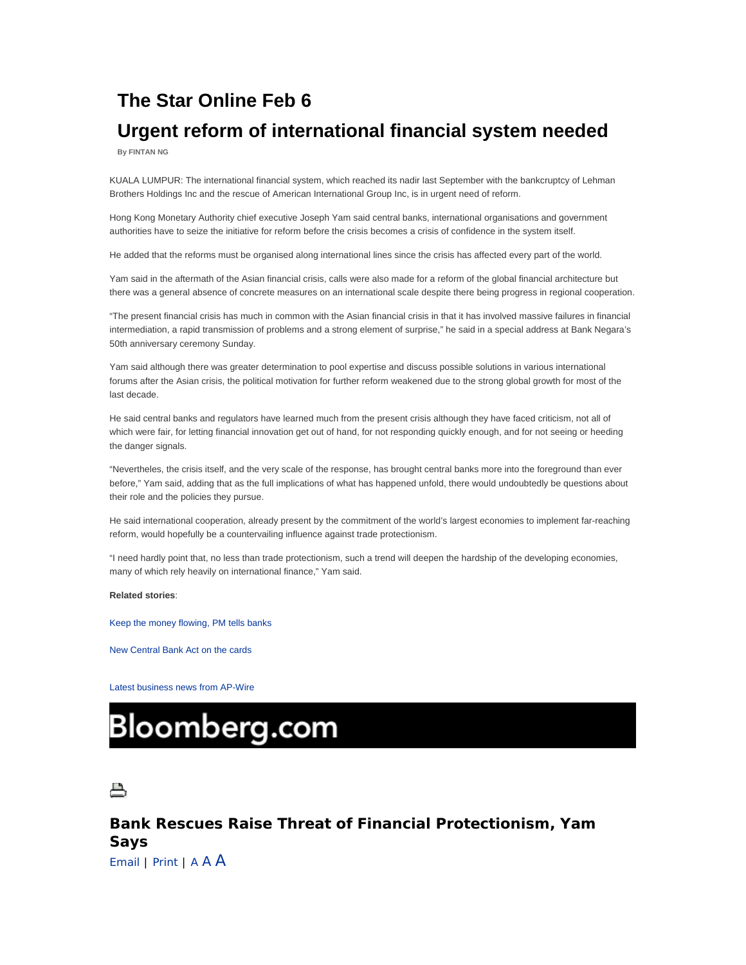## **The Star Online Feb 6**

## **Urgent reform of international financial system needed**

**By FINTAN NG** 

KUALA LUMPUR: The international financial system, which reached its nadir last September with the bankcruptcy of Lehman Brothers Holdings Inc and the rescue of American International Group Inc, is in urgent need of reform.

Hong Kong Monetary Authority chief executive Joseph Yam said central banks, international organisations and government authorities have to seize the initiative for reform before the crisis becomes a crisis of confidence in the system itself.

He added that the reforms must be organised along international lines since the crisis has affected every part of the world.

Yam said in the aftermath of the Asian financial crisis, calls were also made for a reform of the global financial architecture but there was a general absence of concrete measures on an international scale despite there being progress in regional cooperation.

"The present financial crisis has much in common with the Asian financial crisis in that it has involved massive failures in financial intermediation, a rapid transmission of problems and a strong element of surprise," he said in a special address at Bank Negara's 50th anniversary ceremony Sunday.

Yam said although there was greater determination to pool expertise and discuss possible solutions in various international forums after the Asian crisis, the political motivation for further reform weakened due to the strong global growth for most of the last decade.

He said central banks and regulators have learned much from the present crisis although they have faced criticism, not all of which were fair, for letting financial innovation get out of hand, for not responding quickly enough, and for not seeing or heeding the danger signals.

"Nevertheles, the crisis itself, and the very scale of the response, has brought central banks more into the foreground than ever before," Yam said, adding that as the full implications of what has happened unfold, there would undoubtedly be questions about their role and the policies they pursue.

He said international cooperation, already present by the commitment of the world's largest economies to implement far-reaching reform, would hopefully be a countervailing influence against trade protectionism.

"I need hardly point that, no less than trade protectionism, such a trend will deepen the hardship of the developing economies, many of which rely heavily on international finance," Yam said.

#### **Related stories**:

Keep the money flowing, PM tells banks

New Central Bank Act on the cards

Latest business news from AP-Wire

# **Bloomberg.com**



### **Bank Rescues Raise Threat of Financial Protectionism, Yam Says**

Email | Print | A A A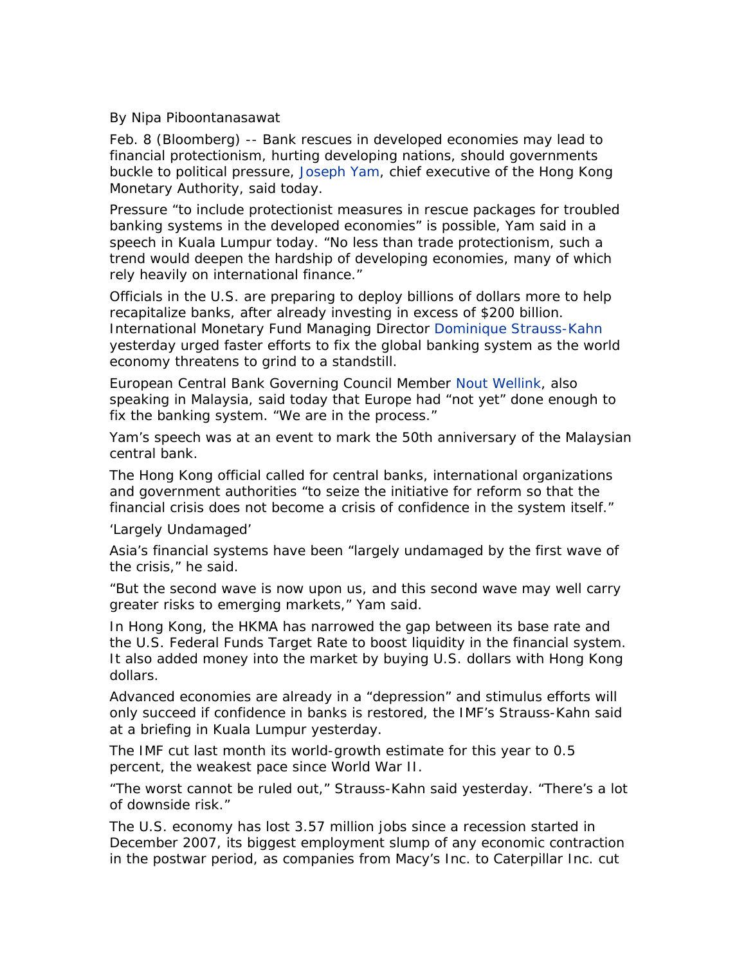By Nipa Piboontanasawat

Feb. 8 (Bloomberg) -- Bank rescues in developed economies may lead to financial protectionism, hurting developing nations, should governments buckle to political pressure, Joseph Yam, chief executive of the Hong Kong Monetary Authority, said today.

Pressure "to include protectionist measures in rescue packages for troubled banking systems in the developed economies" is possible, Yam said in a speech in Kuala Lumpur today. "No less than trade protectionism, such a trend would deepen the hardship of developing economies, many of which rely heavily on international finance."

Officials in the U.S. are preparing to deploy billions of dollars more to help recapitalize banks, after already investing in excess of \$200 billion. International Monetary Fund Managing Director Dominique Strauss-Kahn yesterday urged faster efforts to fix the global banking system as the world economy threatens to grind to a standstill.

European Central Bank Governing Council Member Nout Wellink, also speaking in Malaysia, said today that Europe had "not yet" done enough to fix the banking system. "We are in the process."

Yam's speech was at an event to mark the 50th anniversary of the Malaysian central bank.

The Hong Kong official called for central banks, international organizations and government authorities "to seize the initiative for reform so that the financial crisis does not become a crisis of confidence in the system itself."

'Largely Undamaged'

Asia's financial systems have been "largely undamaged by the first wave of the crisis," he said.

"But the second wave is now upon us, and this second wave may well carry greater risks to emerging markets," Yam said.

In Hong Kong, the HKMA has narrowed the gap between its base rate and the U.S. Federal Funds Target Rate to boost liquidity in the financial system. It also added money into the market by buying U.S. dollars with Hong Kong dollars.

Advanced economies are already in a "depression" and stimulus efforts will only succeed if confidence in banks is restored, the IMF's Strauss-Kahn said at a briefing in Kuala Lumpur yesterday.

The IMF cut last month its world-growth estimate for this year to 0.5 percent, the weakest pace since World War II.

"The worst cannot be ruled out," Strauss-Kahn said yesterday. "There's a lot of downside risk."

The U.S. economy has lost 3.57 million jobs since a recession started in December 2007, its biggest employment slump of any economic contraction in the postwar period, as companies from Macy's Inc. to Caterpillar Inc. cut